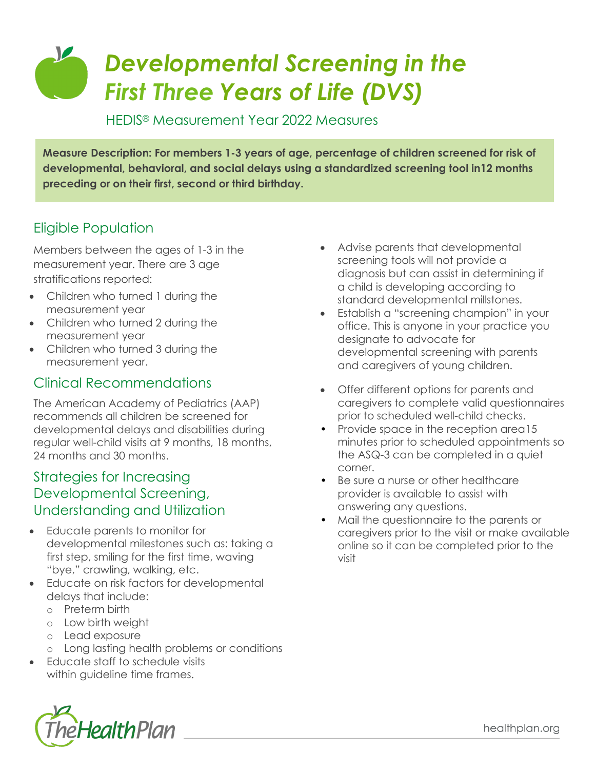# *Developmental Screening in the First Three Years of Life (DVS)*

HEDIS® Measurement Year 2022 Measures

**Measure Description: For members 1-3 years of age, percentage of children screened for risk of developmental, behavioral, and social delays using a standardized screening tool in12 months preceding or on their first, second or third birthday.**

## Eligible Population

Members between the ages of 1-3 in the measurement year. There are 3 age stratifications reported:

- Children who turned 1 during the measurement year
- Children who turned 2 during the measurement year
- Children who turned 3 during the measurement year.

#### Clinical Recommendations

The American Academy of Pediatrics (AAP) recommends all children be screened for developmental delays and disabilities during regular well-child visits at 9 months, 18 months, 24 months and 30 months.

#### Strategies for Increasing Developmental Screening, Understanding and Utilization

- Educate parents to monitor for developmental milestones such as: taking a first step, smiling for the first time, waving "bye," crawling, walking, etc.
- Educate on risk factors for developmental delays that include:
	- o Preterm birth
	- o Low birth weight
	- o Lead exposure
	- o Long lasting health problems or conditions
- Educate staff to schedule visits within quideline time frames.



- Establish a "screening champion" in your office. This is anyone in your practice you designate to advocate for developmental screening with parents and caregivers of young children.
- Offer different options for parents and caregivers to complete valid questionnaires prior to scheduled well-child checks.
- Provide space in the reception area15 minutes prior to scheduled appointments so the ASQ-3 can be completed in a quiet corner.
- Be sure a nurse or other healthcare provider is available to assist with answering any questions.
- Mail the questionnaire to the parents or caregivers prior to the visit or make available online so it can be completed prior to the visit